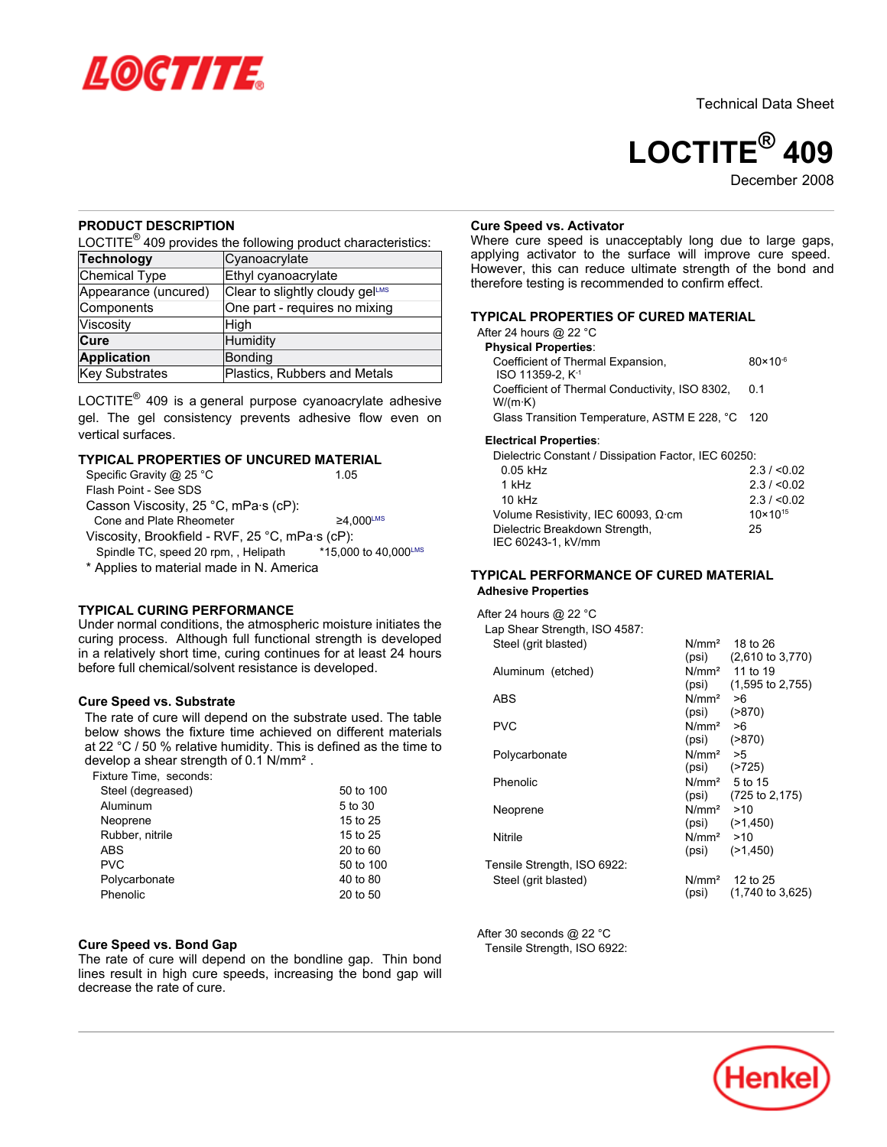

25



**PRODUCT DESCRIPTION**

LOCTITE $^{\circledR}$  409 provides the following product characteristics:

| <b>Technology</b>    | Cyanoacrylate                   |
|----------------------|---------------------------------|
| Chemical Type        | Ethyl cyanoacrylate             |
| Appearance (uncured) | Clear to slightly cloudy gelLMS |
| Components           | One part - requires no mixing   |
| Viscosity            | High                            |
| Cure                 | Humidity                        |
| <b>Application</b>   | Bonding                         |
| Key Substrates       | Plastics, Rubbers and Metals    |

LOCTITE $^{\circledR}$  409 is a general purpose cyanoacrylate adhesive gel. The gel consistency prevents adhesive flow even on vertical surfaces.

#### **TYPICAL PROPERTIES OF UNCURED MATERIAL**

| Specific Gravity @ 25 °C                        | 1.05                    |
|-------------------------------------------------|-------------------------|
| Flash Point - See SDS                           |                         |
| Casson Viscosity, 25 °C, mPa·s (cP):            |                         |
| Cone and Plate Rheometer                        | $≥4,000$ <sup>LMS</sup> |
| Viscosity, Brookfield - RVF, 25 °C, mPa·s (cP): |                         |
| Spindle TC, speed 20 rpm, , Helipath            | *15,000 to 40,000LMS    |
| * Applies to material made in N. America        |                         |

## **TYPICAL CURING PERFORMANCE**

Under normal conditions, the atmospheric moisture initiates the curing process. Although full functional strength is developed in a relatively short time, curing continues for at least 24 hours before full chemical/solvent resistance is developed.

#### **Cure Speed vs. Substrate**

The rate of cure will depend on the substrate used. The table below shows the fixture time achieved on different materials at 22 °C / 50 % relative humidity. This is defined as the time to develop a shear strength of 0.1 N/mm².

| Fixture Time seconds: |  |
|-----------------------|--|

| Steel (degreased) | 50 to 100 |
|-------------------|-----------|
| Aluminum          | 5 to 30   |
| Neoprene          | 15 to 25  |
| Rubber, nitrile   | 15 to 25  |
| <b>ABS</b>        | 20 to 60  |
| <b>PVC</b>        | 50 to 100 |
| Polycarbonate     | 40 to 80  |
| Phenolic          | 20 to 50  |

#### **Cure Speed vs. Bond Gap**

The rate of cure will depend on the bondline gap. Thin bond lines result in high cure speeds, increasing the bond gap will decrease the rate of cure.

#### **Cure Speed vs. Activator**

Where cure speed is unacceptably long due to large gaps, applying activator to the surface will improve cure speed. However, this can reduce ultimate strength of the bond and therefore testing is recommended to confirm effect.

#### **TYPICAL PROPERTIES OF CURED MATERIAL**

| After 24 hours @ 22 °C                                            |                     |
|-------------------------------------------------------------------|---------------------|
| <b>Physical Properties:</b>                                       |                     |
| Coefficient of Thermal Expansion,<br>ISO 11359-2, K <sup>-1</sup> | $80 \times 10^{-6}$ |
| Coefficient of Thermal Conductivity, ISO 8302,<br>W/(m·K)         | 0.1                 |
| Glass Transition Temperature, ASTM E 228, °C                      | 120                 |
| <b>Electrical Properties:</b>                                     |                     |
| Dielectric Constant / Dissipation Factor, IEC 60250:              |                     |
| $0.05$ kHz                                                        | 2.3 / 0.02          |
| 1 kHz                                                             | 2.3 / 0.02          |
| $10$ kHz                                                          | 2.3 / 0.02          |
| Volume Resistivity, IEC 60093, Ω·cm                               | $10 \times 10^{15}$ |

# **TYPICAL PERFORMANCE OF CURED MATERIAL Adhesive Properties**

After 24 hours @ 22 °C Lap Shear Strength, ISO 4597.

IEC 60243-1, kV/mm

Dielectric Breakdown Strength,

| Lap Shear Strength, ISO 4587. |                    |                                     |
|-------------------------------|--------------------|-------------------------------------|
| Steel (grit blasted)          |                    | $N/mm2$ 18 to 26                    |
|                               |                    | $(psi)$ $(2,610 \text{ to } 3,770)$ |
| Aluminum (etched)             |                    | $N/mm2$ 11 to 19                    |
|                               |                    | $(psi)$ $(1,595$ to 2,755)          |
| <b>ABS</b>                    | $N/mm^2 > 6$       |                                     |
|                               | $(psi)$ $( >870)$  |                                     |
| <b>PVC</b>                    | $N/mm^2 > 6$       |                                     |
|                               | $(psi)$ $( >870)$  |                                     |
| Polycarbonate                 | $N/mm^2$ >5        |                                     |
|                               | $(psi)$ $( > 725)$ |                                     |
| Phenolic                      |                    | $N/mm2$ 5 to 15                     |
|                               |                    | $(psi)$ $(725 to 2, 175)$           |
| Neoprene                      | $N/mm^2$ >10       |                                     |
|                               |                    | $(psi)$ $(>1,450)$                  |
| Nitrile                       | $N/mm^2$ >10       |                                     |
|                               |                    | $(psi)$ $(>1,450)$                  |
| Tensile Strength, ISO 6922:   |                    |                                     |
| Steel (grit blasted)          |                    | $N/mm2$ 12 to 25                    |
|                               | (psi)              | $(1,740 \text{ to } 3,625)$         |
|                               |                    |                                     |

After 30 seconds @ 22 °C Tensile Strength, ISO 6922:

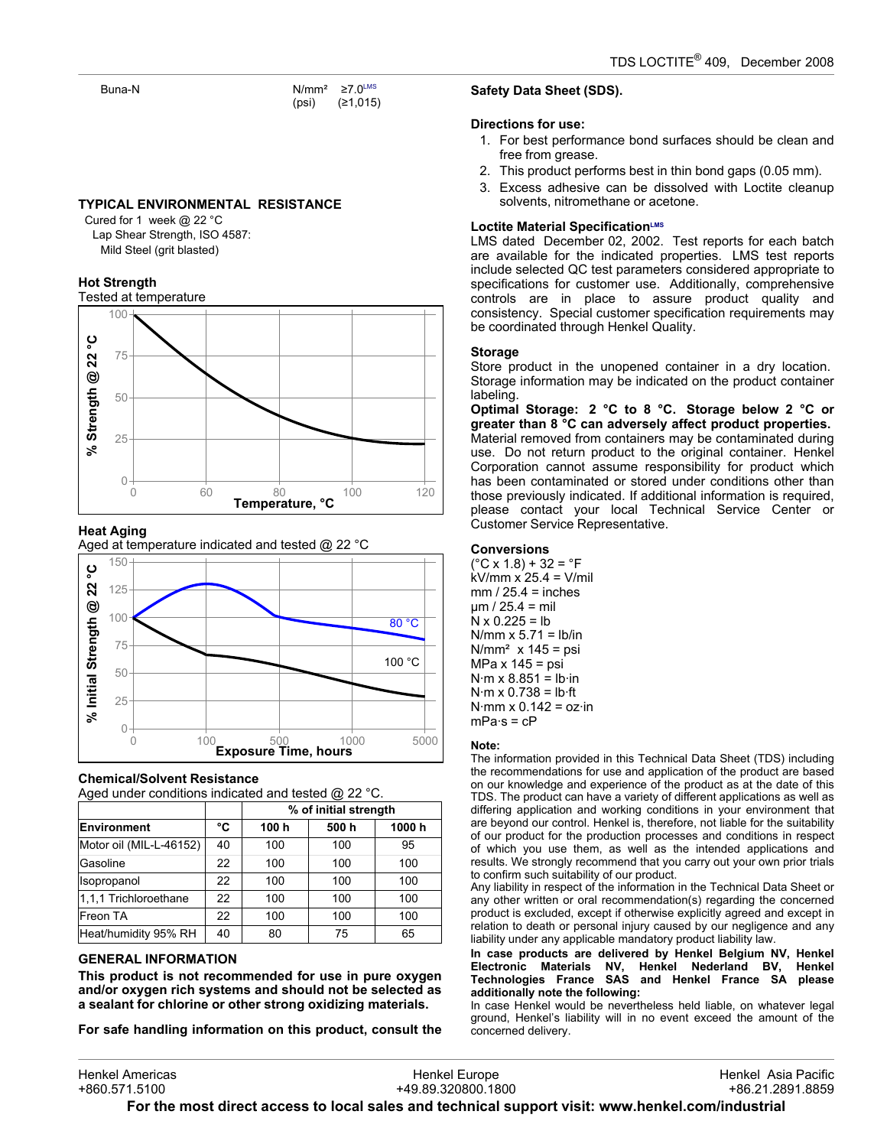# **TYPICAL ENVIRONMENTAL RESISTANCE**

Cured for 1 week @ 22 °C Lap Shear Strength, ISO 4587: Mild Steel (grit blasted)

## **Hot Strength**



## **Heat Aging**

Aged at temperature indicated and tested @ 22 °C



# **Chemical/Solvent Resistance**

Aged under conditions indicated and tested @ 22 °C.

|                         |    | % of initial strength |      |       |
|-------------------------|----|-----------------------|------|-------|
| <b>Environment</b>      | °C | 100 h                 | 500h | 1000h |
| Motor oil (MIL-L-46152) | 40 | 100                   | 100  | 95    |
| Gasoline                | 22 | 100                   | 100  | 100   |
| Isopropanol             | 22 | 100                   | 100  | 100   |
| 1,1,1 Trichloroethane   | 22 | 100                   | 100  | 100   |
| Freon TA                | 22 | 100                   | 100  | 100   |
| Heat/humidity 95% RH    | 40 | 80                    | 75   | 65    |

## **GENERAL INFORMATION**

**This product is not recommended for use in pure oxygen and/or oxygen rich systems and should not be selected as a sealant for chlorine or other strong oxidizing materials.**

**For safe handling information on this product, consult the**

# **Safety Data Sheet (SDS).**

## **Directions for use:**

- 1. For best performance bond surfaces should be clean and free from grease.
- 2. This product performs best in thin bond gaps (0.05 mm).
- 3. Excess adhesive can be dissolved with Loctite cleanup solvents, nitromethane or acetone.

## **Loctite Material SpecificationLMS**

LMS dated December 02, 2002. Test reports for each batch are available for the indicated properties. LMS test reports include selected QC test parameters considered appropriate to specifications for customer use. Additionally, comprehensive controls are in place to assure product quality and consistency. Special customer specification requirements may be coordinated through Henkel Quality.

## **Storage**

Store product in the unopened container in a dry location. Storage information may be indicated on the product container labeling.

**Optimal Storage: 2 °C to 8 °C. Storage below 2 °C or greater than 8 °C can adversely affect product properties.** Material removed from containers may be contaminated during use. Do not return product to the original container. Henkel Corporation cannot assume responsibility for product which has been contaminated or stored under conditions other than those previously indicated. If additional information is required, please contact your local Technical Service Center or Customer Service Representative.

## **Conversions**

 $(^{\circ}C \times 1.8) + 32 = ^{\circ}F$ kV/mm x 25.4 = V/mil  $mm / 25.4 = inches$  $um / 25.4 = mil$  $N \times 0.225 = lb$  $N/mm \times 5.71 = lb/in$  $N/mm^2$  x 145 = psi MPa x 145 = psi  $N·m \times 8.851 = lb·in$  $N·m \times 0.738 = lb·ft$  $N·mm \times 0.142 = oz·in$  $mPa·s = cP$ 

#### **Note:**

The information provided in this Technical Data Sheet (TDS) including the recommendations for use and application of the product are based on our knowledge and experience of the product as at the date of this TDS. The product can have a variety of different applications as well as differing application and working conditions in your environment that are beyond our control. Henkel is, therefore, not liable for the suitability of our product for the production processes and conditions in respect of which you use them, as well as the intended applications and results. We strongly recommend that you carry out your own prior trials to confirm such suitability of our product.

Any liability in respect of the information in the Technical Data Sheet or any other written or oral recommendation(s) regarding the concerned product is excluded, except if otherwise explicitly agreed and except in relation to death or personal injury caused by our negligence and any liability under any applicable mandatory product liability law.

**In case products are delivered by Henkel Belgium NV, Henkel Electronic Materials NV, Henkel Nederland BV, Henkel Technologies France SAS and Henkel France SA please additionally note the following:** 

In case Henkel would be nevertheless held liable, on whatever legal ground, Henkel's liability will in no event exceed the amount of the concerned delivery.

| <b>Henkel Americas</b>                                                                           | Henkel Europe      | Henkel Asia Pacific |  |
|--------------------------------------------------------------------------------------------------|--------------------|---------------------|--|
| +860.571.5100                                                                                    | +49.89.320800.1800 | +86.21.2891.8859    |  |
| For the most direct access to local sales and technical support visit: www.henkel.com/industrial |                    |                     |  |